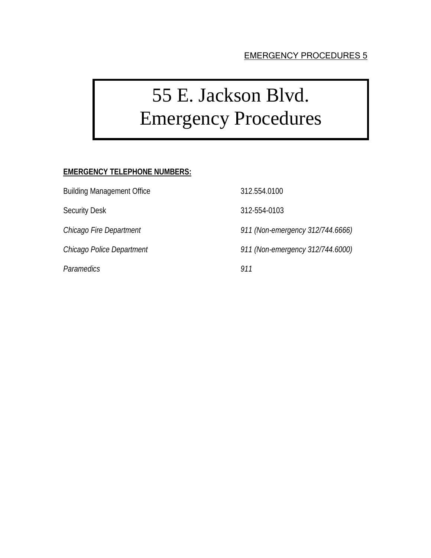# 55 E. Jackson Blvd. Emergency Procedures

### **EMERGENCY TELEPHONE NUMBERS:**

Building Management Office 312.554.0100

*Paramedics 911* 

Security Desk 312-554-0103

*Chicago Fire Department 911 (Non-emergency 312/744.6666)* 

*Chicago Police Department 911 (Non-emergency 312/744.6000)*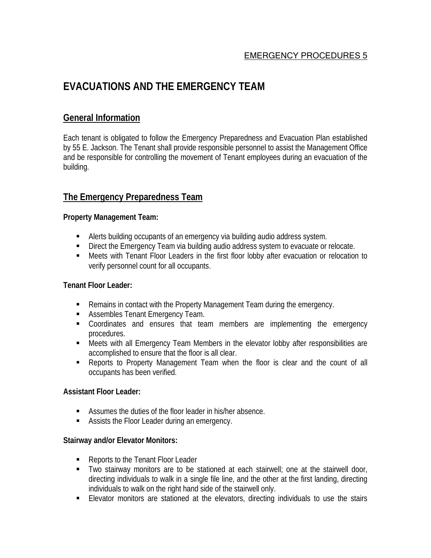# **EVACUATIONS AND THE EMERGENCY TEAM**

# **General Information**

Each tenant is obligated to follow the Emergency Preparedness and Evacuation Plan established by 55 E. Jackson. The Tenant shall provide responsible personnel to assist the Management Office and be responsible for controlling the movement of Tenant employees during an evacuation of the building.

# **The Emergency Preparedness Team**

#### **Property Management Team:**

- Alerts building occupants of an emergency via building audio address system.
- **Direct the Emergency Team via building audio address system to evacuate or relocate.**
- Meets with Tenant Floor Leaders in the first floor lobby after evacuation or relocation to verify personnel count for all occupants.

#### **Tenant Floor Leader:**

- Remains in contact with the Property Management Team during the emergency.
- **Assembles Tenant Emergency Team.**
- **•** Coordinates and ensures that team members are implementing the emergency procedures.
- Meets with all Emergency Team Members in the elevator lobby after responsibilities are accomplished to ensure that the floor is all clear.
- Reports to Property Management Team when the floor is clear and the count of all occupants has been verified.

#### **Assistant Floor Leader:**

- Assumes the duties of the floor leader in his/her absence.
- **Assists the Floor Leader during an emergency.**

#### **Stairway and/or Elevator Monitors:**

- Reports to the Tenant Floor Leader
- Two stairway monitors are to be stationed at each stairwell; one at the stairwell door, directing individuals to walk in a single file line, and the other at the first landing, directing individuals to walk on the right hand side of the stairwell only.
- **Elevator monitors are stationed at the elevators, directing individuals to use the stairs**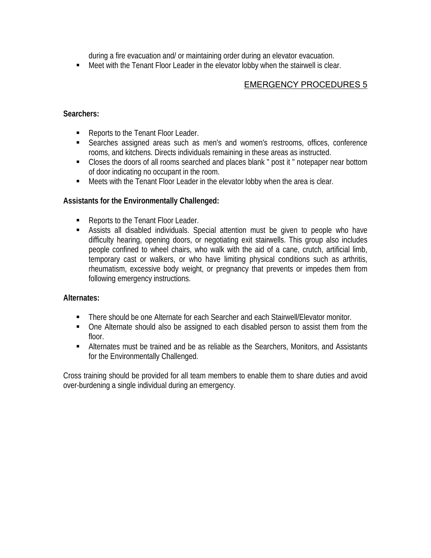during a fire evacuation and/ or maintaining order during an elevator evacuation.

Meet with the Tenant Floor Leader in the elevator lobby when the stairwell is clear.

### EMERGENCY PROCEDURES 5

### **Searchers:**

- Reports to the Tenant Floor Leader.
- Searches assigned areas such as men's and women's restrooms, offices, conference rooms, and kitchens. Directs individuals remaining in these areas as instructed.
- Closes the doors of all rooms searched and places blank " post it " notepaper near bottom of door indicating no occupant in the room.
- Meets with the Tenant Floor Leader in the elevator lobby when the area is clear.

#### **Assistants for the Environmentally Challenged:**

- Reports to the Tenant Floor Leader.
- Assists all disabled individuals. Special attention must be given to people who have difficulty hearing, opening doors, or negotiating exit stairwells. This group also includes people confined to wheel chairs, who walk with the aid of a cane, crutch, artificial limb, temporary cast or walkers, or who have limiting physical conditions such as arthritis, rheumatism, excessive body weight, or pregnancy that prevents or impedes them from following emergency instructions.

#### **Alternates:**

- There should be one Alternate for each Searcher and each Stairwell/Elevator monitor.
- One Alternate should also be assigned to each disabled person to assist them from the floor.
- Alternates must be trained and be as reliable as the Searchers, Monitors, and Assistants for the Environmentally Challenged.

Cross training should be provided for all team members to enable them to share duties and avoid over-burdening a single individual during an emergency.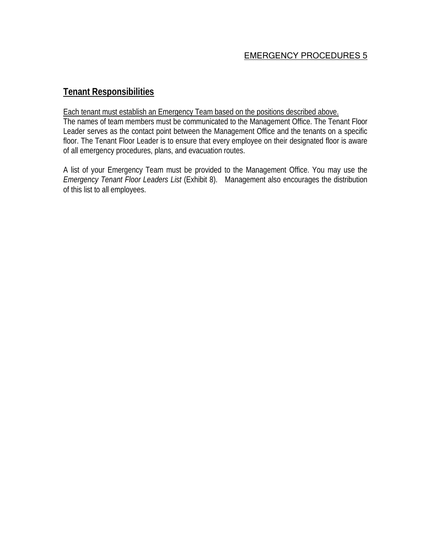# **Tenant Responsibilities**

#### Each tenant must establish an Emergency Team based on the positions described above.

The names of team members must be communicated to the Management Office. The Tenant Floor Leader serves as the contact point between the Management Office and the tenants on a specific floor. The Tenant Floor Leader is to ensure that every employee on their designated floor is aware of all emergency procedures, plans, and evacuation routes.

A list of your Emergency Team must be provided to the Management Office. You may use the *Emergency Tenant Floor Leaders List* (Exhibit 8). Management also encourages the distribution of this list to all employees.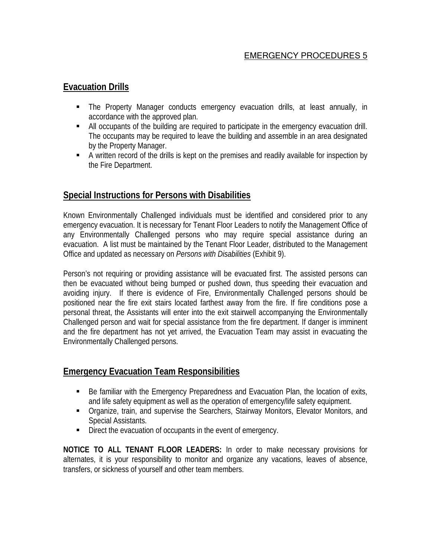### **Evacuation Drills**

- The Property Manager conducts emergency evacuation drills, at least annually, in accordance with the approved plan.
- All occupants of the building are required to participate in the emergency evacuation drill. The occupants may be required to leave the building and assemble in an area designated by the Property Manager.
- A written record of the drills is kept on the premises and readily available for inspection by the Fire Department.

# **Special Instructions for Persons with Disabilities**

Known Environmentally Challenged individuals must be identified and considered prior to any emergency evacuation. It is necessary for Tenant Floor Leaders to notify the Management Office of any Environmentally Challenged persons who may require special assistance during an evacuation. A list must be maintained by the Tenant Floor Leader, distributed to the Management Office and updated as necessary on *Persons with Disabilities* (Exhibit 9).

Person's not requiring or providing assistance will be evacuated first. The assisted persons can then be evacuated without being bumped or pushed down, thus speeding their evacuation and avoiding injury. If there is evidence of Fire, Environmentally Challenged persons should be positioned near the fire exit stairs located farthest away from the fire. If fire conditions pose a personal threat, the Assistants will enter into the exit stairwell accompanying the Environmentally Challenged person and wait for special assistance from the fire department. If danger is imminent and the fire department has not yet arrived, the Evacuation Team may assist in evacuating the Environmentally Challenged persons.

# **Emergency Evacuation Team Responsibilities**

- Be familiar with the Emergency Preparedness and Evacuation Plan, the location of exits, and life safety equipment as well as the operation of emergency/life safety equipment.
- Organize, train, and supervise the Searchers, Stairway Monitors, Elevator Monitors, and Special Assistants.
- Direct the evacuation of occupants in the event of emergency.

**NOTICE TO ALL TENANT FLOOR LEADERS:** In order to make necessary provisions for alternates, it is your responsibility to monitor and organize any vacations, leaves of absence, transfers, or sickness of yourself and other team members.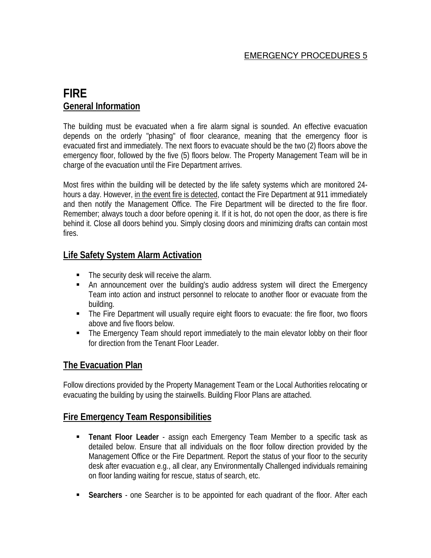# **FIRE General Information**

The building must be evacuated when a fire alarm signal is sounded. An effective evacuation depends on the orderly "phasing" of floor clearance, meaning that the emergency floor is evacuated first and immediately. The next floors to evacuate should be the two (2) floors above the emergency floor, followed by the five (5) floors below. The Property Management Team will be in charge of the evacuation until the Fire Department arrives.

Most fires within the building will be detected by the life safety systems which are monitored 24 hours a day. However, in the event fire is detected, contact the Fire Department at 911 immediately and then notify the Management Office. The Fire Department will be directed to the fire floor. Remember; always touch a door before opening it. If it is hot, do not open the door, as there is fire behind it. Close all doors behind you. Simply closing doors and minimizing drafts can contain most fires.

# **Life Safety System Alarm Activation**

- The security desk will receive the alarm.
- An announcement over the building's audio address system will direct the Emergency Team into action and instruct personnel to relocate to another floor or evacuate from the building.
- **The Fire Department will usually require eight floors to evacuate: the fire floor, two floors** above and five floors below.
- The Emergency Team should report immediately to the main elevator lobby on their floor for direction from the Tenant Floor Leader.

# **The Evacuation Plan**

Follow directions provided by the Property Management Team or the Local Authorities relocating or evacuating the building by using the stairwells. Building Floor Plans are attached.

### **Fire Emergency Team Responsibilities**

- **Tenant Floor Leader** assign each Emergency Team Member to a specific task as detailed below. Ensure that all individuals on the floor follow direction provided by the Management Office or the Fire Department. Report the status of your floor to the security desk after evacuation e.g., all clear, any Environmentally Challenged individuals remaining on floor landing waiting for rescue, status of search, etc.
- **Searchers** one Searcher is to be appointed for each quadrant of the floor. After each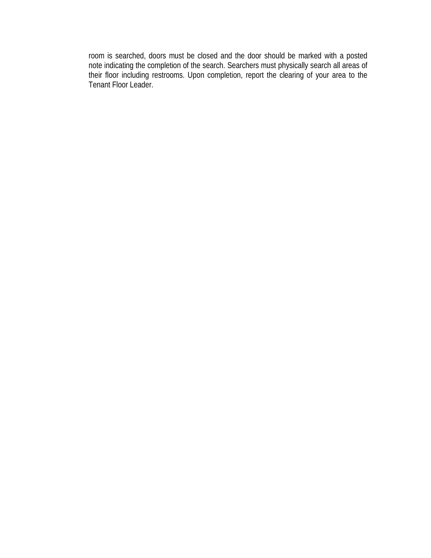room is searched, doors must be closed and the door should be marked with a posted note indicating the completion of the search. Searchers must physically search all areas of their floor including restrooms. Upon completion, report the clearing of your area to the Tenant Floor Leader.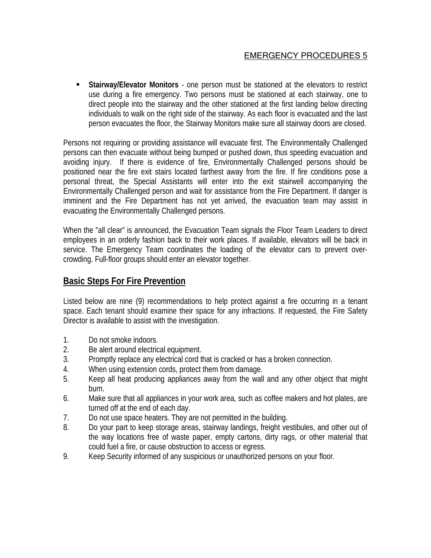**Stairway/Elevator Monitors** - one person must be stationed at the elevators to restrict use during a fire emergency. Two persons must be stationed at each stairway, one to direct people into the stairway and the other stationed at the first landing below directing individuals to walk on the right side of the stairway. As each floor is evacuated and the last person evacuates the floor, the Stairway Monitors make sure all stairway doors are closed.

Persons not requiring or providing assistance will evacuate first. The Environmentally Challenged persons can then evacuate without being bumped or pushed down, thus speeding evacuation and avoiding injury. If there is evidence of fire, Environmentally Challenged persons should be positioned near the fire exit stairs located farthest away from the fire. If fire conditions pose a personal threat, the Special Assistants will enter into the exit stairwell accompanying the Environmentally Challenged person and wait for assistance from the Fire Department. If danger is imminent and the Fire Department has not yet arrived, the evacuation team may assist in evacuating the Environmentally Challenged persons.

When the "all clear" is announced, the Evacuation Team signals the Floor Team Leaders to direct employees in an orderly fashion back to their work places. If available, elevators will be back in service. The Emergency Team coordinates the loading of the elevator cars to prevent overcrowding. Full-floor groups should enter an elevator together.

# **Basic Steps For Fire Prevention**

Listed below are nine (9) recommendations to help protect against a fire occurring in a tenant space. Each tenant should examine their space for any infractions. If requested, the Fire Safety Director is available to assist with the investigation.

- 1. Do not smoke indoors.
- 2. Be alert around electrical equipment.
- 3. Promptly replace any electrical cord that is cracked or has a broken connection.
- 4. When using extension cords, protect them from damage.
- 5. Keep all heat producing appliances away from the wall and any other object that might burn.
- 6. Make sure that all appliances in your work area, such as coffee makers and hot plates, are turned off at the end of each day.
- 7. Do not use space heaters. They are not permitted in the building.
- 8. Do your part to keep storage areas, stairway landings, freight vestibules, and other out of the way locations free of waste paper, empty cartons, dirty rags, or other material that could fuel a fire, or cause obstruction to access or egress.
- 9. Keep Security informed of any suspicious or unauthorized persons on your floor.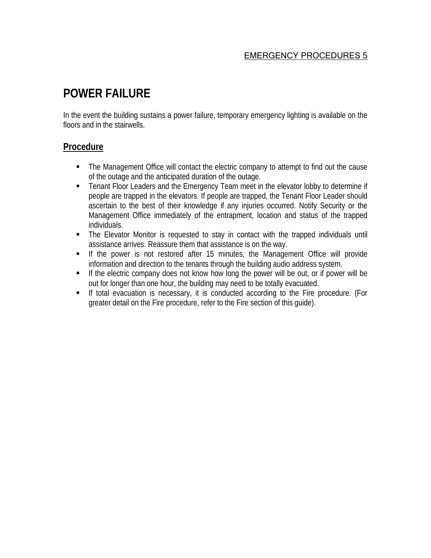# **POWER FAILURE**

In the event the building sustains a power failure, temporary emergency lighting is available on the floors and in the stairwells.

### **Procedure**

- The Management Office will contact the electric company to attempt to find out the cause of the outage and the anticipated duration of the outage.
- **Tenant Floor Leaders and the Emergency Team meet in the elevator lobby to determine if** people are trapped in the elevators. If people are trapped, the Tenant Floor Leader should ascertain to the best of their knowledge if any injuries occurred. Notify Security or the Management Office immediately of the entrapment, location and status of the trapped individuals.
- The Elevator Monitor is requested to stay in contact with the trapped individuals until assistance arrives. Reassure them that assistance is on the way.
- If the power is not restored after 15 minutes, the Management Office will provide information and direction to the tenants through the building audio address system.
- If the electric company does not know how long the power will be out, or if power will be out for longer than one hour, the building may need to be totally evacuated.
- If total evacuation is necessary, it is conducted according to the Fire procedure. (For greater detail on the Fire procedure, refer to the Fire section of this guide).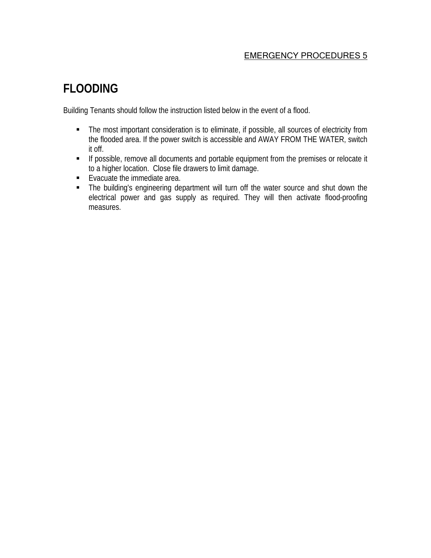# **FLOODING**

Building Tenants should follow the instruction listed below in the event of a flood.

- **The most important consideration is to eliminate, if possible, all sources of electricity from** the flooded area. If the power switch is accessible and AWAY FROM THE WATER, switch it off.
- **If possible, remove all documents and portable equipment from the premises or relocate it** to a higher location. Close file drawers to limit damage.
- **Exacuate the immediate area.**
- The building's engineering department will turn off the water source and shut down the electrical power and gas supply as required. They will then activate flood-proofing measures.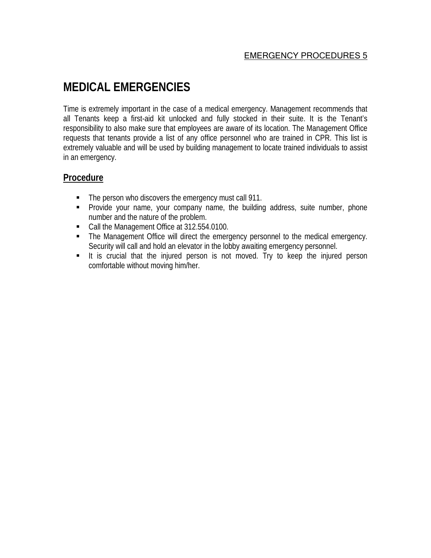# **MEDICAL EMERGENCIES**

Time is extremely important in the case of a medical emergency. Management recommends that all Tenants keep a first-aid kit unlocked and fully stocked in their suite. It is the Tenant's responsibility to also make sure that employees are aware of its location. The Management Office requests that tenants provide a list of any office personnel who are trained in CPR. This list is extremely valuable and will be used by building management to locate trained individuals to assist in an emergency.

# **Procedure**

- The person who discovers the emergency must call 911.
- Provide your name, your company name, the building address, suite number, phone number and the nature of the problem.
- Call the Management Office at 312.554.0100.
- The Management Office will direct the emergency personnel to the medical emergency. Security will call and hold an elevator in the lobby awaiting emergency personnel.
- It is crucial that the injured person is not moved. Try to keep the injured person comfortable without moving him/her.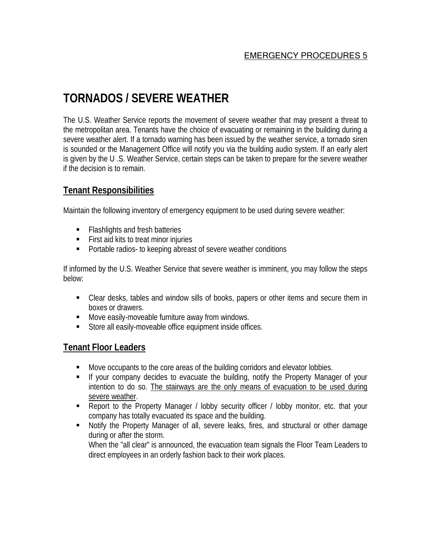# **TORNADOS / SEVERE WEATHER**

The U.S. Weather Service reports the movement of severe weather that may present a threat to the metropolitan area. Tenants have the choice of evacuating or remaining in the building during a severe weather alert. If a tornado warning has been issued by the weather service, a tornado siren is sounded or the Management Office will notify you via the building audio system. If an early alert is given by the U .S. Weather Service, certain steps can be taken to prepare for the severe weather if the decision is to remain.

# **Tenant Responsibilities**

Maintain the following inventory of emergency equipment to be used during severe weather:

- Flashlights and fresh batteries
- **First aid kits to treat minor injuries**
- **Portable radios- to keeping abreast of severe weather conditions**

If informed by the U.S. Weather Service that severe weather is imminent, you may follow the steps below:

- Clear desks, tables and window sills of books, papers or other items and secure them in boxes or drawers.
- **Move easily-moveable furniture away from windows.**
- **Store all easily-moveable office equipment inside offices.**

# **Tenant Floor Leaders**

- Move occupants to the core areas of the building corridors and elevator lobbies.
- If your company decides to evacuate the building, notify the Property Manager of your intention to do so. The stairways are the only means of evacuation to be used during severe weather.
- Report to the Property Manager / lobby security officer / lobby monitor, etc. that your company has totally evacuated its space and the building.
- Notify the Property Manager of all, severe leaks, fires, and structural or other damage during or after the storm.

 When the "all clear" is announced, the evacuation team signals the Floor Team Leaders to direct employees in an orderly fashion back to their work places.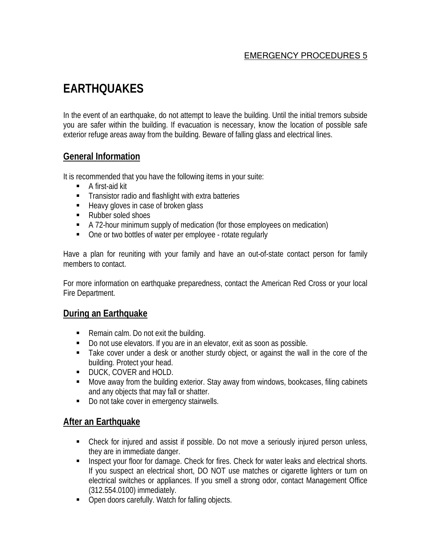# **EARTHQUAKES**

In the event of an earthquake, do not attempt to leave the building. Until the initial tremors subside you are safer within the building. If evacuation is necessary, know the location of possible safe exterior refuge areas away from the building. Beware of falling glass and electrical lines.

# **General Information**

It is recommended that you have the following items in your suite:

- A first-aid kit
- **Transistor radio and flashlight with extra batteries**
- Heavy gloves in case of broken glass
- Rubber soled shoes
- A 72-hour minimum supply of medication (for those employees on medication)
- One or two bottles of water per employee rotate regularly

Have a plan for reuniting with your family and have an out-of-state contact person for family members to contact.

For more information on earthquake preparedness, contact the American Red Cross or your local Fire Department.

# **During an Earthquake**

- Remain calm. Do not exit the building.
- Do not use elevators. If you are in an elevator, exit as soon as possible.
- Take cover under a desk or another sturdy object, or against the wall in the core of the building. Protect your head.
- **DUCK, COVER and HOLD.**
- Move away from the building exterior. Stay away from windows, bookcases, filing cabinets and any objects that may fall or shatter.
- Do not take cover in emergency stairwells.

# **After an Earthquake**

- Check for injured and assist if possible. Do not move a seriously injured person unless, they are in immediate danger.
- **Inspect your floor for damage. Check for fires. Check for water leaks and electrical shorts.** If you suspect an electrical short, DO NOT use matches or cigarette lighters or turn on electrical switches or appliances. If you smell a strong odor, contact Management Office (312.554.0100) immediately.
- Open doors carefully. Watch for falling objects.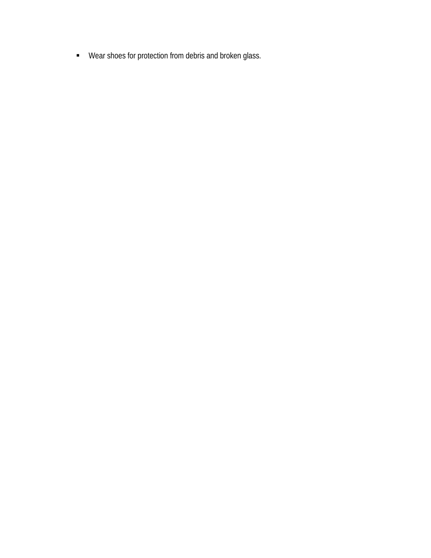Wear shoes for protection from debris and broken glass.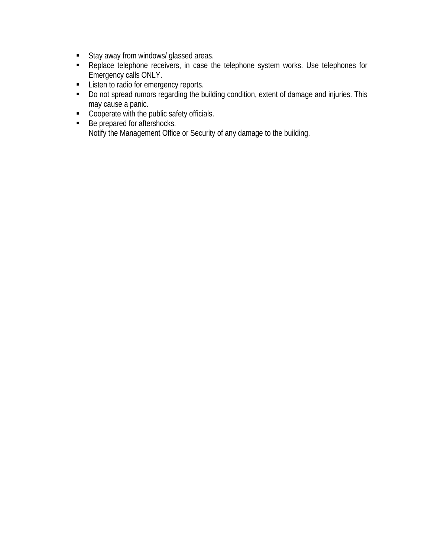- **Stay away from windows/ glassed areas.**
- Replace telephone receivers, in case the telephone system works. Use telephones for Emergency calls ONLY.
- **EXECUTE:** Listen to radio for emergency reports.
- Do not spread rumors regarding the building condition, extent of damage and injuries. This may cause a panic.
- Cooperate with the public safety officials.
- Be prepared for aftershocks. Notify the Management Office or Security of any damage to the building.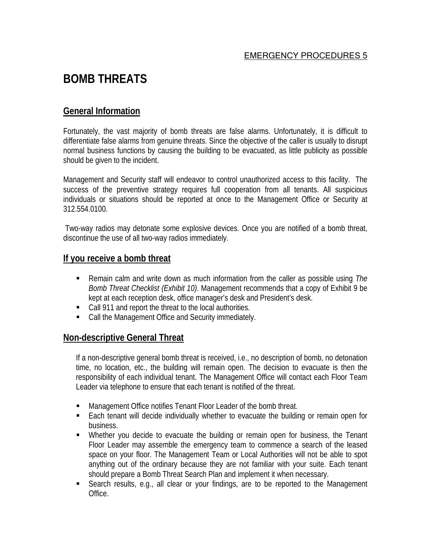# **BOMB THREATS**

# **General Information**

Fortunately, the vast majority of bomb threats are false alarms. Unfortunately, it is difficult to differentiate false alarms from genuine threats. Since the objective of the caller is usually to disrupt normal business functions by causing the building to be evacuated, as little publicity as possible should be given to the incident.

Management and Security staff will endeavor to control unauthorized access to this facility. The success of the preventive strategy requires full cooperation from all tenants. All suspicious individuals or situations should be reported at once to the Management Office or Security at 312.554.0100.

Two-way radios may detonate some explosive devices. Once you are notified of a bomb threat, discontinue the use of all two-way radios immediately.

### **If you receive a bomb threat**

- Remain calm and write down as much information from the caller as possible using *The Bomb Threat Checklist (Exhibit 10)*. Management recommends that a copy of Exhibit 9 be kept at each reception desk, office manager's desk and President's desk.
- Call 911 and report the threat to the local authorities.
- Call the Management Office and Security immediately.

### **Non-descriptive General Threat**

If a non-descriptive general bomb threat is received, i.e., no description of bomb, no detonation time, no location, etc., the building will remain open. The decision to evacuate is then the responsibility of each individual tenant. The Management Office will contact each Floor Team Leader via telephone to ensure that each tenant is notified of the threat.

- Management Office notifies Tenant Floor Leader of the bomb threat.
- Each tenant will decide individually whether to evacuate the building or remain open for business.
- Whether you decide to evacuate the building or remain open for business, the Tenant Floor Leader may assemble the emergency team to commence a search of the leased space on your floor. The Management Team or Local Authorities will not be able to spot anything out of the ordinary because they are not familiar with your suite. Each tenant should prepare a Bomb Threat Search Plan and implement it when necessary.
- Search results, e.g., all clear or your findings, are to be reported to the Management Office.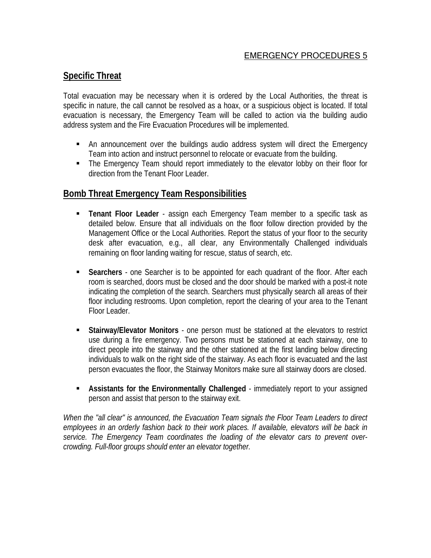# **Specific Threat**

Total evacuation may be necessary when it is ordered by the Local Authorities, the threat is specific in nature, the call cannot be resolved as a hoax, or a suspicious object is located. If total evacuation is necessary, the Emergency Team will be called to action via the building audio address system and the Fire Evacuation Procedures will be implemented.

- An announcement over the buildings audio address system will direct the Emergency Team into action and instruct personnel to relocate or evacuate from the building.
- **The Emergency Team should report immediately to the elevator lobby on their floor for** direction from the Tenant Floor Leader.

# **Bomb Threat Emergency Team Responsibilities**

- **Tenant Floor Leader** assign each Emergency Team member to a specific task as detailed below. Ensure that all individuals on the floor follow direction provided by the Management Office or the Local Authorities. Report the status of your floor to the security desk after evacuation, e.g., all clear, any Environmentally Challenged individuals remaining on floor landing waiting for rescue, status of search, etc.
- **Searchers** one Searcher is to be appointed for each quadrant of the floor. After each room is searched, doors must be closed and the door should be marked with a post-it note indicating the completion of the search. Searchers must physically search all areas of their floor including restrooms. Upon completion, report the clearing of your area to the Tenant Floor Leader.
- **Stairway/Elevator Monitors** one person must be stationed at the elevators to restrict use during a fire emergency. Two persons must be stationed at each stairway, one to direct people into the stairway and the other stationed at the first landing below directing individuals to walk on the right side of the stairway. As each floor is evacuated and the last person evacuates the floor, the Stairway Monitors make sure all stairway doors are closed.
- **Assistants for the Environmentally Challenged** immediately report to your assigned person and assist that person to the stairway exit.

*When the "all clear" is announced, the Evacuation Team signals the Floor Team Leaders to direct employees in an orderly fashion back to their work places. If available, elevators will be back in service. The Emergency Team coordinates the loading of the elevator cars to prevent overcrowding. Full-floor groups should enter an elevator together.*